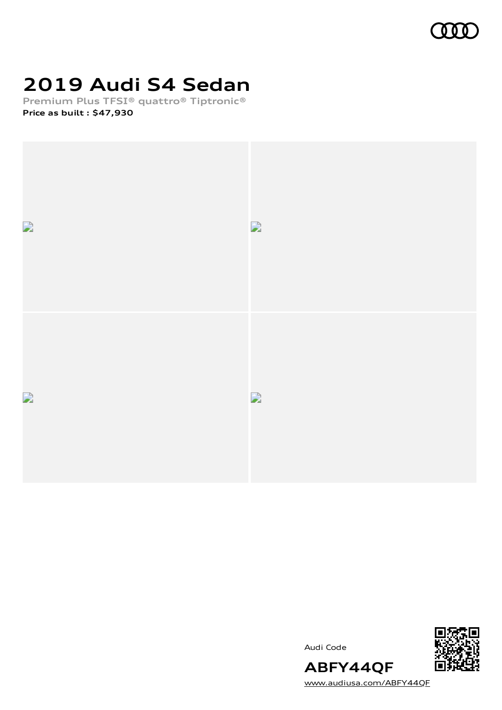

# **2019 Audi S4 Sedan**

**Premium Plus TFSI® quattro® Tiptronic® Price as built [:](#page-8-0) \$47,930**



Audi Code



[www.audiusa.com/ABFY44QF](https://www.audiusa.com/ABFY44QF)

**ABFY44QF**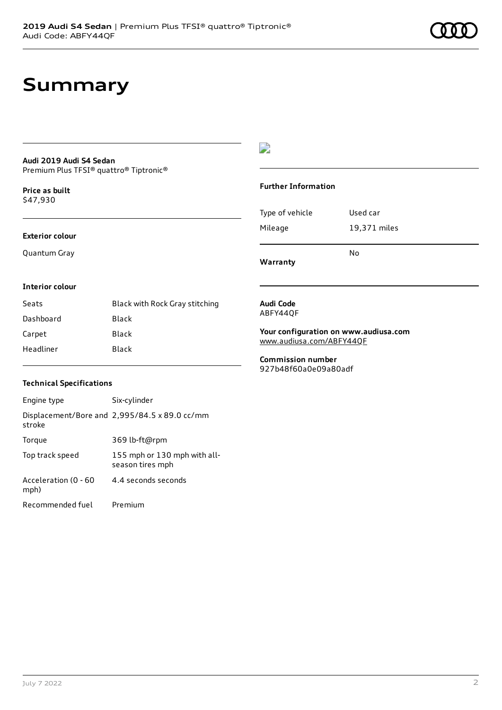# **Summary**

## **Audi 2019 Audi S4 Sedan**

Premium Plus TFSI® quattro® Tiptronic®

**Price as buil[t](#page-8-0)** \$47,930

#### **Exterior colour**

Quantum Gray

### $\overline{\phantom{a}}$

### **Further Information**

|                 | N٥           |
|-----------------|--------------|
| Mileage         | 19,371 miles |
| Type of vehicle | Used car     |

**Warranty**

#### **Interior colour**

| Seats     | Black with Rock Gray stitching |
|-----------|--------------------------------|
| Dashboard | Black                          |
| Carpet    | Black                          |
| Headliner | Black                          |

#### **Audi Code** ABFY44QF

**Your configuration on www.audiusa.com** [www.audiusa.com/ABFY44QF](https://www.audiusa.com/ABFY44QF)

**Commission number** 927b48f60a0e09a80adf

### **Technical Specifications**

| Engine type                  | Six-cylinder                                     |
|------------------------------|--------------------------------------------------|
| stroke                       | Displacement/Bore and 2,995/84.5 x 89.0 cc/mm    |
| Torque                       | 369 lb-ft@rpm                                    |
| Top track speed              | 155 mph or 130 mph with all-<br>season tires mph |
| Acceleration (0 - 60<br>mph) | 4.4 seconds seconds                              |
| Recommended fuel             | Premium                                          |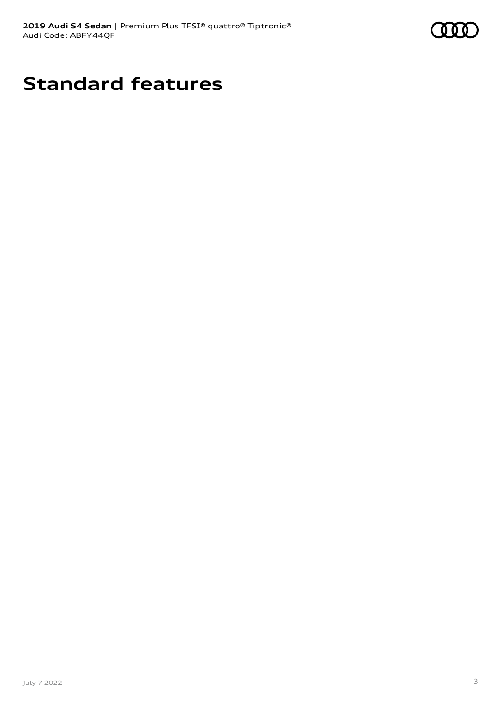

# **Standard features**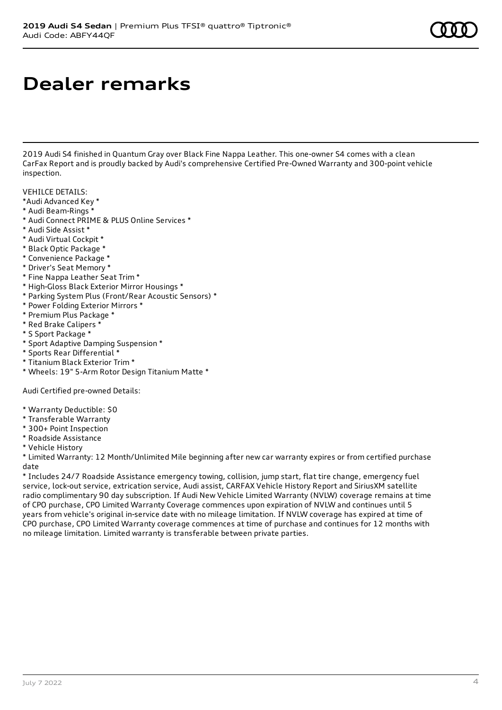# **Dealer remarks**

2019 Audi S4 finished in Quantum Gray over Black Fine Nappa Leather. This one-owner S4 comes with a clean CarFax Report and is proudly backed by Audi's comprehensive Certified Pre-Owned Warranty and 300-point vehicle inspection.

VEHILCE DETAILS:

- \*Audi Advanced Key \*
- \* Audi Beam-Rings \*
- \* Audi Connect PRIME & PLUS Online Services \*
- \* Audi Side Assist \*
- \* Audi Virtual Cockpit \*
- \* Black Optic Package \*
- \* Convenience Package \*
- \* Driver's Seat Memory \*
- \* Fine Nappa Leather Seat Trim \*
- \* High-Gloss Black Exterior Mirror Housings \*
- \* Parking System Plus (Front/Rear Acoustic Sensors) \*
- \* Power Folding Exterior Mirrors \*
- \* Premium Plus Package \*
- \* Red Brake Calipers \*
- \* S Sport Package \*
- \* Sport Adaptive Damping Suspension \*
- \* Sports Rear Differential \*
- \* Titanium Black Exterior Trim \*
- \* Wheels: 19" 5-Arm Rotor Design Titanium Matte \*

Audi Certified pre-owned Details:

- \* Warranty Deductible: \$0
- \* Transferable Warranty
- \* 300+ Point Inspection
- \* Roadside Assistance
- \* Vehicle History

\* Limited Warranty: 12 Month/Unlimited Mile beginning after new car warranty expires or from certified purchase date

\* Includes 24/7 Roadside Assistance emergency towing, collision, jump start, flat tire change, emergency fuel service, lock-out service, extrication service, Audi assist, CARFAX Vehicle History Report and SiriusXM satellite radio complimentary 90 day subscription. If Audi New Vehicle Limited Warranty (NVLW) coverage remains at time of CPO purchase, CPO Limited Warranty Coverage commences upon expiration of NVLW and continues until 5 years from vehicle's original in-service date with no mileage limitation. If NVLW coverage has expired at time of CPO purchase, CPO Limited Warranty coverage commences at time of purchase and continues for 12 months with no mileage limitation. Limited warranty is transferable between private parties.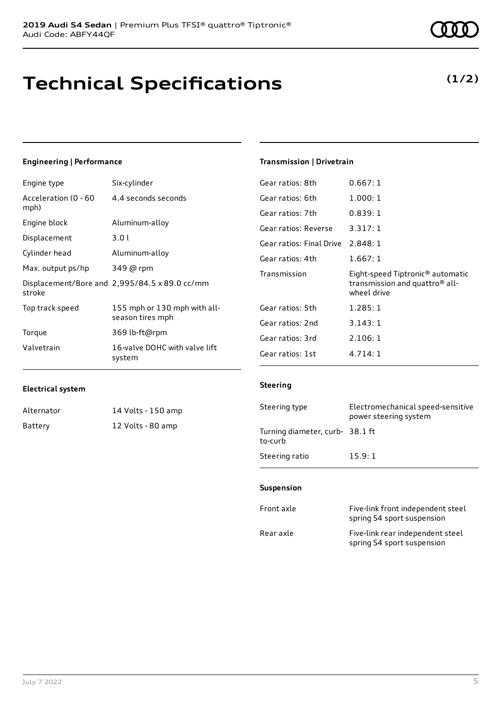# **Technical Specifications**

#### Engine type Six-cylinder Acceleration (0 - 60 4.4 seconds seconds

**Engineering | Performance**

| mph)              |                                                  |
|-------------------|--------------------------------------------------|
| Engine block      | Aluminum-alloy                                   |
| Displacement      | 3.01                                             |
| Cylinder head     | Aluminum-alloy                                   |
| Max. output ps/hp | 349 @ rpm                                        |
| stroke            | Displacement/Bore and 2,995/84.5 x 89.0 cc/mm    |
| Top track speed   | 155 mph or 130 mph with all-<br>season tires mph |
| Torque            | 369 lb-ft@rpm                                    |
| Valvetrain        | 16-valve DOHC with valve lift<br>system          |

### **Transmission | Drivetrain**

| Gear ratios: 8th                  | 0.667:1                                                                                                   |
|-----------------------------------|-----------------------------------------------------------------------------------------------------------|
| Gear ratios: 6th                  | 1.000:1                                                                                                   |
| Gear ratios: 7th                  | 0.839:1                                                                                                   |
| Gear ratios: Reverse              | 3.317:1                                                                                                   |
| Gear ratios: Final Drive 2.848: 1 |                                                                                                           |
| Gear ratios: 4th                  | 1.667:1                                                                                                   |
|                                   |                                                                                                           |
| Transmission                      | Eight-speed Tiptronic <sup>®</sup> automatic<br>transmission and quattro <sup>®</sup> all-<br>wheel drive |
| Gear ratios: 5th                  | 1.285:1                                                                                                   |
| Gear ratios: 2nd                  | 3.143:1                                                                                                   |
| Gear ratios: 3rd                  | 2.106:1                                                                                                   |

### **Electrical system**

| Alternator | 14 Volts - 150 amp |
|------------|--------------------|
| Battery    | 12 Volts - 80 amp  |

|                                            | power steering system |
|--------------------------------------------|-----------------------|
| Turning diameter, curb- 38.1 ft<br>to-curb |                       |
| Steering ratio                             | 15.9:1                |

Steering type Electromechanical speed-sensitive

#### **Suspension**

**Steering**

| Front axle | Five-link front independent steel<br>spring S4 sport suspension |
|------------|-----------------------------------------------------------------|
| Rear axle  | Five-link rear independent steel<br>spring S4 sport suspension  |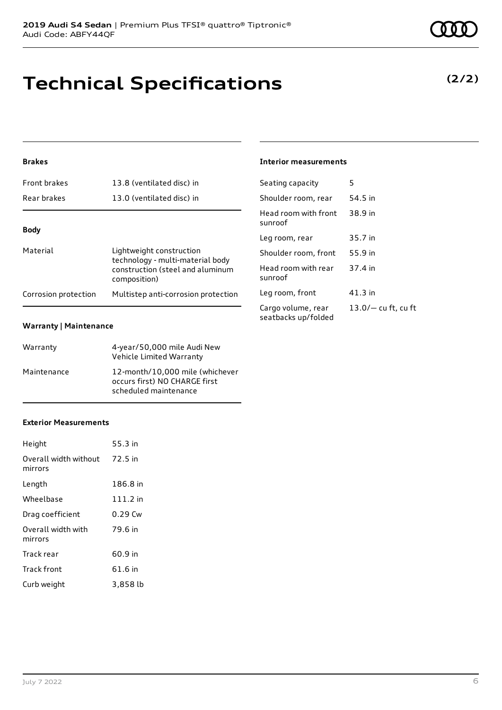# **Technical Specifications**

### **Brakes**

| Rear brakes          | 13.0 (ventilated disc) in                                    | Sł       |
|----------------------|--------------------------------------------------------------|----------|
|                      |                                                              | H٥<br>SU |
| <b>Body</b>          |                                                              | Le       |
| Material             | Lightweight construction<br>technology - multi-material body | Sł       |
|                      | construction (steel and aluminum<br>composition)             | H٥<br>SU |
| Corrosion protection | Multistep anti-corrosion protection                          | Le<br>r- |

### **Warranty | Maintenance**

| Warranty    | 4-year/50,000 mile Audi New<br>Vehicle Limited Warranty                                   |
|-------------|-------------------------------------------------------------------------------------------|
| Maintenance | 12-month/10,000 mile (whichever<br>occurs first) NO CHARGE first<br>scheduled maintenance |

### **Exterior Measurements**

| Height                           | 55.3 in    |
|----------------------------------|------------|
| Overall width without<br>mirrors | 72.5 in    |
| Length                           | 186.8 in   |
| Wheelbase                        | $111.2$ in |
| Drag coefficient                 | 0.29 Cw    |
| Overall width with<br>mirrors    | 79.6 in    |
| Track rear                       | 60.9 in    |
| Track front                      | 61.6 in    |
| Curb weight                      | 3,858 lb   |

### **Interior measurements**

| Seating capacity                          | 5                     |
|-------------------------------------------|-----------------------|
| Shoulder room, rear                       | 54.5 in               |
| Head room with front<br>sunroof           | 38.9 in               |
| Leg room, rear                            | 35.7 in               |
| Shoulder room, front                      | 55.9 in               |
| Head room with rear<br>sunroof            | 37.4 in               |
| Leg room, front                           | 41.3 in               |
| Cargo volume, rear<br>seatbacks up/folded | $13.0/-$ cu ft, cu ft |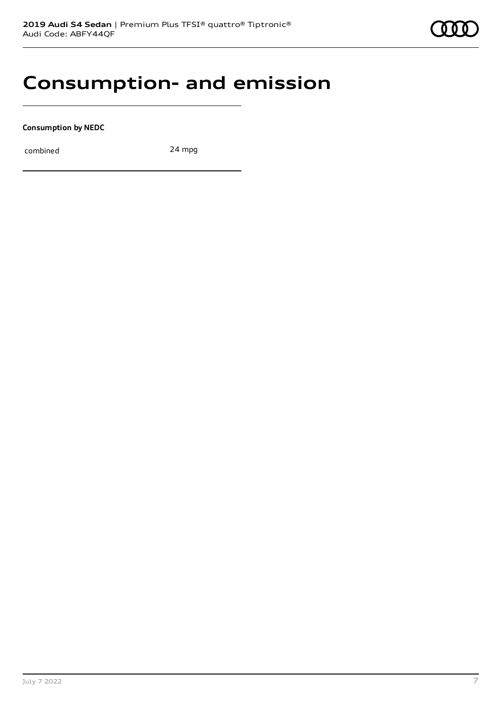# **Consumption- and emission**

**Consumption by NEDC**

combined 24 mpg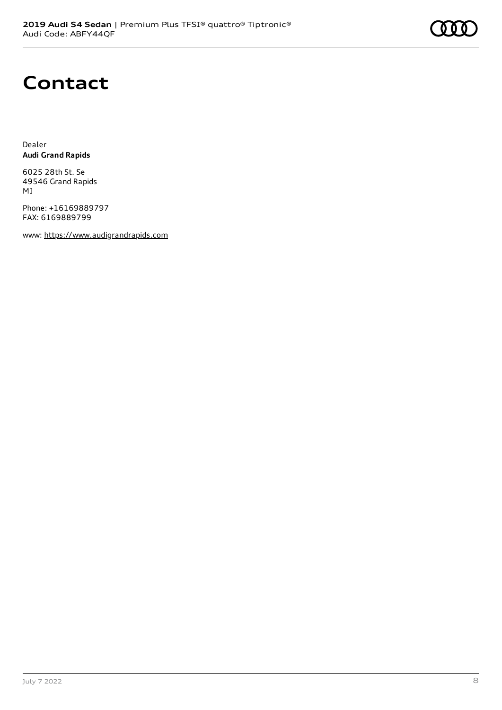# **Contact**

Dealer **Audi Grand Rapids**

6025 28th St. Se 49546 Grand Rapids MI

Phone: +16169889797 FAX: 6169889799

www: [https://www.audigrandrapids.com](https://www.audigrandrapids.com/)